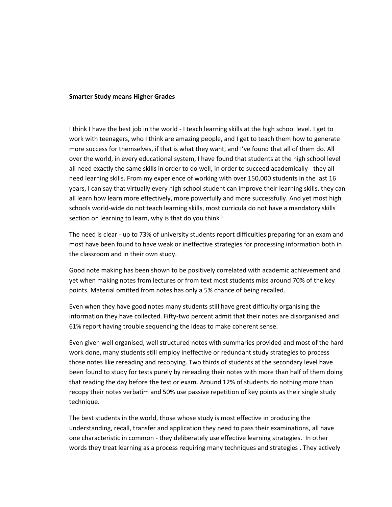#### **Smarter Study means Higher Grades**

I think I have the best job in the world - I teach learning skills at the high school level. I get to work with teenagers, who I think are amazing people, and I get to teach them how to generate more success for themselves, if that is what they want, and I've found that all of them do. All over the world, in every educational system, I have found that students at the high school level all need exactly the same skills in order to do well, in order to succeed academically - they all need learning skills. From my experience of working with over 150,000 students in the last 16 years, I can say that virtually every high school student can improve their learning skills, they can all learn how learn more effectively, more powerfully and more successfully. And yet most high schools world-wide do not teach learning skills, most curricula do not have a mandatory skills section on learning to learn, why is that do you think?

The need is clear - up to 73% of university students report difficulties preparing for an exam and most have been found to have weak or ineffective strategies for processing information both in the classroom and in their own study.

Good note making has been shown to be positively correlated with academic achievement and yet when making notes from lectures or from text most students miss around 70% of the key points. Material omitted from notes has only a 5% chance of being recalled.

Even when they have good notes many students still have great difficulty organising the information they have collected. Fifty-two percent admit that their notes are disorganised and 61% report having trouble sequencing the ideas to make coherent sense.

Even given well organised, well structured notes with summaries provided and most of the hard work done, many students still employ ineffective or redundant study strategies to process those notes like rereading and recopying. Two thirds of students at the secondary level have been found to study for tests purely by rereading their notes with more than half of them doing that reading the day before the test or exam. Around 12% of students do nothing more than recopy their notes verbatim and 50% use passive repetition of key points as their single study technique.

The best students in the world, those whose study is most effective in producing the understanding, recall, transfer and application they need to pass their examinations, all have one characteristic in common - they deliberately use effective learning strategies. In other words they treat learning as a process requiring many techniques and strategies . They actively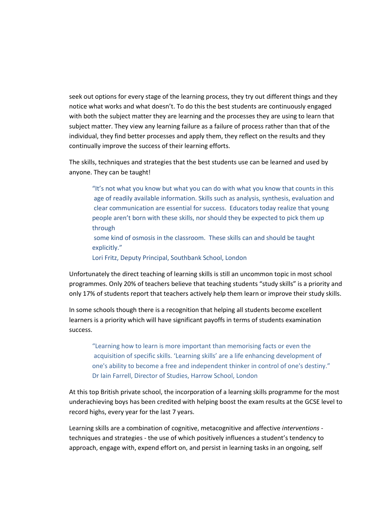seek out options for every stage of the learning process, they try out different things and they notice what works and what doesn't. To do this the best students are continuously engaged with both the subject matter they are learning and the processes they are using to learn that subject matter. They view any learning failure as a failure of process rather than that of the individual, they find better processes and apply them, they reflect on the results and they continually improve the success of their learning efforts.

The skills, techniques and strategies that the best students use can be learned and used by anyone. They can be taught!

"It's not what you know but what you can do with what you know that counts in this age of readily available information. Skills such as analysis, synthesis, evaluation and clear communication are essential for success. Educators today realize that young people aren't born with these skills, nor should they be expected to pick them up through

some kind of osmosis in the classroom. These skills can and should be taught explicitly."

Lori Fritz, Deputy Principal, Southbank School, London

Unfortunately the direct teaching of learning skills is still an uncommon topic in most school programmes. Only 20% of teachers believe that teaching students "study skills" is a priority and only 17% of students report that teachers actively help them learn or improve their study skills.

In some schools though there is a recognition that helping all students become excellent learners is a priority which will have significant payoffs in terms of students examination success.

"Learning how to learn is more important than memorising facts or even the acquisition of specific skills. 'Learning skills' are a life enhancing development of one's ability to become a free and independent thinker in control of one's destiny." Dr Iain Farrell, Director of Studies, Harrow School, London

At this top British private school, the incorporation of a learning skills programme for the most underachieving boys has been credited with helping boost the exam results at the GCSE level to record highs, every year for the last 7 years.

Learning skills are a combination of cognitive, metacognitive and affective *interventions* techniques and strategies - the use of which positively influences a student's tendency to approach, engage with, expend effort on, and persist in learning tasks in an ongoing, self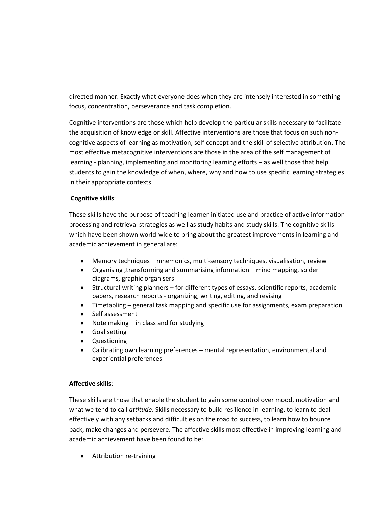directed manner. Exactly what everyone does when they are intensely interested in something focus, concentration, perseverance and task completion.

Cognitive interventions are those which help develop the particular skills necessary to facilitate the acquisition of knowledge or skill. Affective interventions are those that focus on such noncognitive aspects of learning as motivation, self concept and the skill of selective attribution. The most effective metacognitive interventions are those in the area of the self management of learning - planning, implementing and monitoring learning efforts – as well those that help students to gain the knowledge of when, where, why and how to use specific learning strategies in their appropriate contexts.

# **Cognitive skills**:

These skills have the purpose of teaching learner-initiated use and practice of active information processing and retrieval strategies as well as study habits and study skills. The cognitive skills which have been shown world-wide to bring about the greatest improvements in learning and academic achievement in general are:

- Memory techniques mnemonics, multi-sensory techniques, visualisation, review
- Organising ,transforming and summarising information mind mapping, spider diagrams, graphic organisers
- Structural writing planners for different types of essays, scientific reports, academic papers, research reports - organizing, writing, editing, and revising
- Timetabling general task mapping and specific use for assignments, exam preparation  $\bullet$
- Self assessment
- Note making in class and for studying
- Goal setting
- Questioning
- Calibrating own learning preferences mental representation, environmental and experiential preferences

## **Affective skills**:

These skills are those that enable the student to gain some control over mood, motivation and what we tend to call *attitude*. Skills necessary to build resilience in learning, to learn to deal effectively with any setbacks and difficulties on the road to success, to learn how to bounce back, make changes and persevere. The affective skills most effective in improving learning and academic achievement have been found to be:

• Attribution re-training